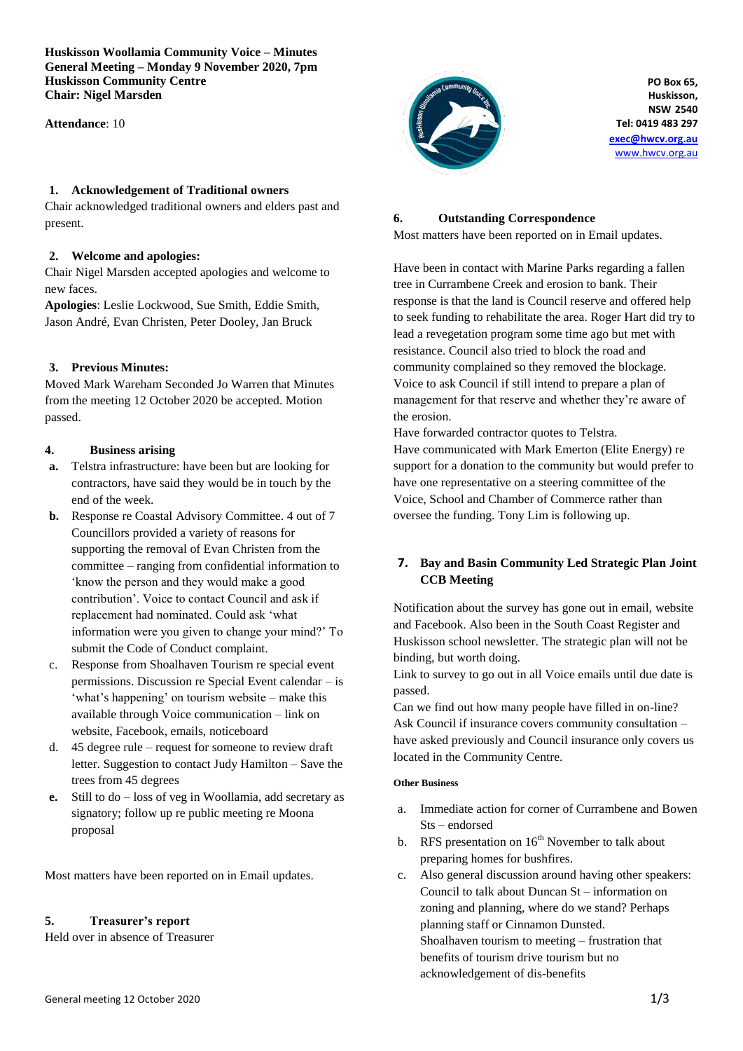**Huskisson Woollamia Community Voice – Minutes General Meeting – Monday 9 November 2020, 7pm Huskisson Community Centre Chair: Nigel Marsden**

**Attendance**: 10

#### **1. Acknowledgement of Traditional owners**

Chair acknowledged traditional owners and elders past and present.

#### **2. Welcome and apologies:**

Chair Nigel Marsden accepted apologies and welcome to new faces.

**Apologies**: Leslie Lockwood, Sue Smith, Eddie Smith, Jason André, Evan Christen, Peter Dooley, Jan Bruck

## **3. Previous Minutes:**

Moved Mark Wareham Seconded Jo Warren that Minutes from the meeting 12 October 2020 be accepted. Motion passed.

#### **4. Business arising**

- **a.** Telstra infrastructure: have been but are looking for contractors, have said they would be in touch by the end of the week.
- **b.** Response re Coastal Advisory Committee. 4 out of 7 Councillors provided a variety of reasons for supporting the removal of Evan Christen from the committee – ranging from confidential information to 'know the person and they would make a good contribution'. Voice to contact Council and ask if replacement had nominated. Could ask 'what information were you given to change your mind?' To submit the Code of Conduct complaint.
- c. Response from Shoalhaven Tourism re special event permissions. Discussion re Special Event calendar – is 'what's happening' on tourism website – make this available through Voice communication – link on website, Facebook, emails, noticeboard
- d. 45 degree rule request for someone to review draft letter. Suggestion to contact Judy Hamilton – Save the trees from 45 degrees
- **e.** Still to do loss of veg in Woollamia, add secretary as signatory; follow up re public meeting re Moona proposal

Most matters have been reported on in Email updates.

## **5. Treasurer's report**

Held over in absence of Treasurer



**PO Box 65, Huskisson, NSW 2540 Tel: 0419 483 297**

**[exec@hwcv.org.au](mailto:exec@hwcv.org.au)** [www.hwcv.org.au](http://www.hwcv.org.au/)

#### **6. Outstanding Correspondence**

Most matters have been reported on in Email updates.

Have been in contact with Marine Parks regarding a fallen tree in Currambene Creek and erosion to bank. Their response is that the land is Council reserve and offered help to seek funding to rehabilitate the area. Roger Hart did try to lead a revegetation program some time ago but met with resistance. Council also tried to block the road and community complained so they removed the blockage. Voice to ask Council if still intend to prepare a plan of management for that reserve and whether they're aware of the erosion.

Have forwarded contractor quotes to Telstra. Have communicated with Mark Emerton (Elite Energy) re support for a donation to the community but would prefer to have one representative on a steering committee of the Voice, School and Chamber of Commerce rather than oversee the funding. Tony Lim is following up.

# **7. Bay and Basin Community Led Strategic Plan Joint CCB Meeting**

Notification about the survey has gone out in email, website and Facebook. Also been in the South Coast Register and Huskisson school newsletter. The strategic plan will not be binding, but worth doing.

Link to survey to go out in all Voice emails until due date is passed.

Can we find out how many people have filled in on-line? Ask Council if insurance covers community consultation – have asked previously and Council insurance only covers us located in the Community Centre.

#### **Other Business**

- a. Immediate action for corner of Currambene and Bowen Sts – endorsed
- b. RFS presentation on  $16<sup>th</sup>$  November to talk about preparing homes for bushfires.
- c. Also general discussion around having other speakers: Council to talk about Duncan St – information on zoning and planning, where do we stand? Perhaps planning staff or Cinnamon Dunsted. Shoalhaven tourism to meeting – frustration that benefits of tourism drive tourism but no acknowledgement of dis-benefits